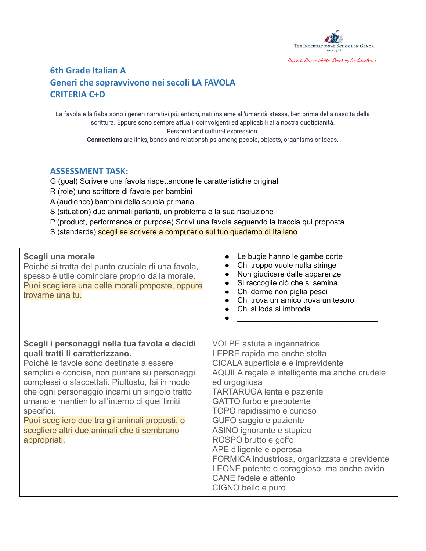

### **6th Grade Italian A Generi che sopravvivono nei secoli LA FAVOLA CRITERIA C+D**

La favola e la fiaba sono i generi narrativi più antichi, nati insieme all'umanità stessa, ben prima della nascita della scrittura. Eppure sono sempre attuali, coinvolgenti ed applicabili alla nostra quotidianità. Personal and cultural expression.

**Connections** are links, bonds and relationships among people, objects, organisms or ideas.

#### **ASSESSMENT TASK:**

- G (goal) Scrivere una favola rispettandone le caratteristiche originali
- R (role) uno scrittore di favole per bambini
- A (audience) bambini della scuola primaria
- S (situation) due animali parlanti, un problema e la sua risoluzione
- P (product, performance or purpose) Scrivi una favola seguendo la traccia qui proposta
- S (standards) scegli se scrivere a computer o sul tuo quaderno di Italiano

| Scegli una morale<br>Poiché si tratta del punto cruciale di una favola,<br>spesso è utile cominciare proprio dalla morale.<br>Puoi scegliere una delle morali proposte, oppure<br>trovarne una tu.                                                                                                                                                                                                                                                                 | Le bugie hanno le gambe corte<br>Chi troppo vuole nulla stringe<br>Non giudicare dalle apparenze<br>Si raccoglie ciò che si semina<br>Chi dorme non piglia pesci<br>Chi trova un amico trova un tesoro<br>Chi si loda si imbroda                                                                                                                                                                                                                                                                                           |
|--------------------------------------------------------------------------------------------------------------------------------------------------------------------------------------------------------------------------------------------------------------------------------------------------------------------------------------------------------------------------------------------------------------------------------------------------------------------|----------------------------------------------------------------------------------------------------------------------------------------------------------------------------------------------------------------------------------------------------------------------------------------------------------------------------------------------------------------------------------------------------------------------------------------------------------------------------------------------------------------------------|
| Scegli i personaggi nella tua favola e decidi<br>quali tratti li caratterizzano.<br>Poiché le favole sono destinate a essere<br>semplici e concise, non puntare su personaggi<br>complessi o sfaccettati. Piuttosto, fai in modo<br>che ogni personaggio incarni un singolo tratto<br>umano e mantienilo all'interno di quei limiti<br>specifici.<br>Puoi scegliere due tra gli animali proposti, o<br>scegliere altri due animali che ti sembrano<br>appropriati. | VOLPE astuta e ingannatrice<br>LEPRE rapida ma anche stolta<br>CICALA superficiale e imprevidente<br>AQUILA regale e intelligente ma anche crudele<br>ed orgogliosa<br><b>TARTARUGA lenta e paziente</b><br>GATTO furbo e prepotente<br>TOPO rapidissimo e curioso<br>GUFO saggio e paziente<br>ASINO ignorante e stupido<br>ROSPO brutto e goffo<br>APE diligente e operosa<br>FORMICA industriosa, organizzata e previdente<br>LEONE potente e coraggioso, ma anche avido<br>CANE fedele e attento<br>CIGNO bello e puro |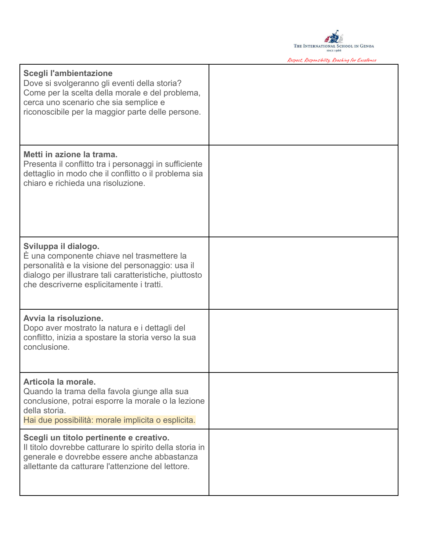

Respect, Responsibility, Reaching for Excellence

| Scegli l'ambientazione<br>Dove si svolgeranno gli eventi della storia?<br>Come per la scelta della morale e del problema,<br>cerca uno scenario che sia semplice e<br>riconoscibile per la maggior parte delle persone.      |  |
|------------------------------------------------------------------------------------------------------------------------------------------------------------------------------------------------------------------------------|--|
| Metti in azione la trama.<br>Presenta il conflitto tra i personaggi in sufficiente<br>dettaglio in modo che il conflitto o il problema sia<br>chiaro e richieda una risoluzione.                                             |  |
| Sviluppa il dialogo.<br>È una componente chiave nel trasmettere la<br>personalità e la visione del personaggio: usa il<br>dialogo per illustrare tali caratteristiche, piuttosto<br>che descriverne esplicitamente i tratti. |  |
| Avvia la risoluzione.<br>Dopo aver mostrato la natura e i dettagli del<br>conflitto, inizia a spostare la storia verso la sua<br>conclusione.                                                                                |  |
| Articola la morale.<br>Quando la trama della favola giunge alla sua<br>conclusione, potrai esporre la morale o la lezione<br>della storia.<br>Hai due possibilità: morale implicita o esplicita.                             |  |
| Scegli un titolo pertinente e creativo.<br>Il titolo dovrebbe catturare lo spirito della storia in<br>generale e dovrebbe essere anche abbastanza<br>allettante da catturare l'attenzione del lettore.                       |  |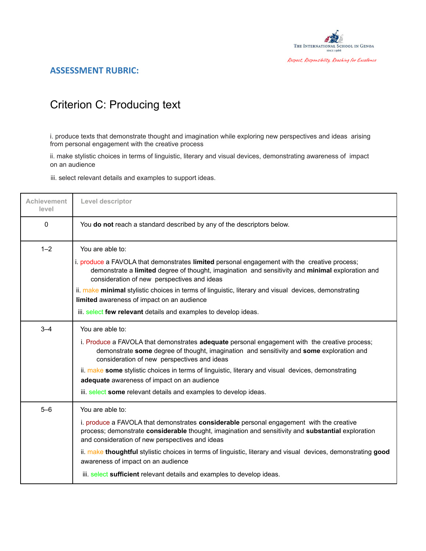

## Criterion C: Producing text

i. produce texts that demonstrate thought and imagination while exploring new perspectives and ideas arising from personal engagement with the creative process

ii. make stylistic choices in terms of linguistic, literary and visual devices, demonstrating awareness of impact on an audience

iii. select relevant details and examples to support ideas.

| <b>Achievement</b><br>level | Level descriptor                                                                                                                                                                                                                                  |
|-----------------------------|---------------------------------------------------------------------------------------------------------------------------------------------------------------------------------------------------------------------------------------------------|
| 0                           | You do not reach a standard described by any of the descriptors below.                                                                                                                                                                            |
| $1 - 2$                     | You are able to:                                                                                                                                                                                                                                  |
|                             | i. produce a FAVOLA that demonstrates limited personal engagement with the creative process;<br>demonstrate a limited degree of thought, imagination and sensitivity and minimal exploration and<br>consideration of new perspectives and ideas   |
|                             | ii. make minimal stylistic choices in terms of linguistic, literary and visual devices, demonstrating<br>limited awareness of impact on an audience                                                                                               |
|                             | iii. select few relevant details and examples to develop ideas.                                                                                                                                                                                   |
| $3 - 4$                     | You are able to:                                                                                                                                                                                                                                  |
|                             | i. Produce a FAVOLA that demonstrates adequate personal engagement with the creative process;<br>demonstrate some degree of thought, imagination and sensitivity and some exploration and<br>consideration of new perspectives and ideas          |
|                             | ii. make some stylistic choices in terms of linguistic, literary and visual devices, demonstrating<br>adequate awareness of impact on an audience                                                                                                 |
|                             | iii. select some relevant details and examples to develop ideas.                                                                                                                                                                                  |
| $5 - 6$                     | You are able to:                                                                                                                                                                                                                                  |
|                             | i. produce a FAVOLA that demonstrates considerable personal engagement with the creative<br>process; demonstrate considerable thought, imagination and sensitivity and substantial exploration<br>and consideration of new perspectives and ideas |
|                             | ii. make thoughtful stylistic choices in terms of linguistic, literary and visual devices, demonstrating good<br>awareness of impact on an audience                                                                                               |
|                             | iii. select sufficient relevant details and examples to develop ideas.                                                                                                                                                                            |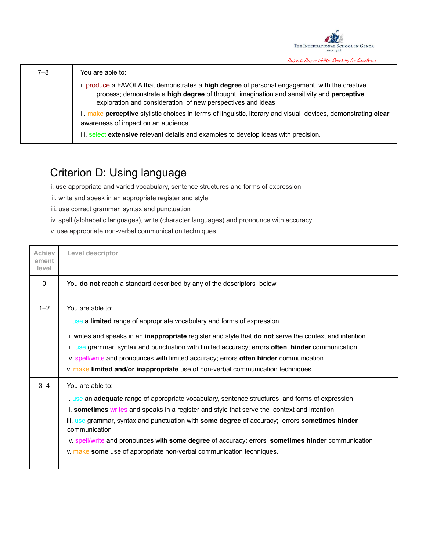

| $7 - 8$ | You are able to:                                                                                                                                                                                                                                         |
|---------|----------------------------------------------------------------------------------------------------------------------------------------------------------------------------------------------------------------------------------------------------------|
|         | i. produce a FAVOLA that demonstrates a high degree of personal engagement with the creative<br>process; demonstrate a high degree of thought, imagination and sensitivity and perceptive<br>exploration and consideration of new perspectives and ideas |
|         | ii. make perceptive stylistic choices in terms of linguistic, literary and visual devices, demonstrating clear<br>awareness of impact on an audience                                                                                                     |
|         | iii. select extensive relevant details and examples to develop ideas with precision.                                                                                                                                                                     |

# Criterion D: Using language

i. use appropriate and varied vocabulary, sentence structures and forms of expression

- ii. write and speak in an appropriate register and style
- iii. use correct grammar, syntax and punctuation
- iv. spell (alphabetic languages), write (character languages) and pronounce with accuracy
- v. use appropriate non-verbal communication techniques.

| <b>Achiev</b><br>ement<br>level | Level descriptor                                                                                                                                                                                                                                                                                                                                                                                                                                                                                                     |
|---------------------------------|----------------------------------------------------------------------------------------------------------------------------------------------------------------------------------------------------------------------------------------------------------------------------------------------------------------------------------------------------------------------------------------------------------------------------------------------------------------------------------------------------------------------|
| 0                               | You do not reach a standard described by any of the descriptors below.                                                                                                                                                                                                                                                                                                                                                                                                                                               |
| $1 - 2$                         | You are able to:<br>i. use a limited range of appropriate vocabulary and forms of expression<br>ii. writes and speaks in an inappropriate register and style that do not serve the context and intention<br>iii. use grammar, syntax and punctuation with limited accuracy; errors often hinder communication<br>iv. spell/write and pronounces with limited accuracy; errors often hinder communication<br>v. make limited and/or inappropriate use of non-verbal communication techniques.                         |
| $3 - 4$                         | You are able to:<br>i. use an adequate range of appropriate vocabulary, sentence structures and forms of expression<br>ii. sometimes writes and speaks in a register and style that serve the context and intention<br>iii. use grammar, syntax and punctuation with some degree of accuracy; errors sometimes hinder<br>communication<br>iv. spell/write and pronounces with some degree of accuracy; errors sometimes hinder communication<br>v. make some use of appropriate non-verbal communication techniques. |